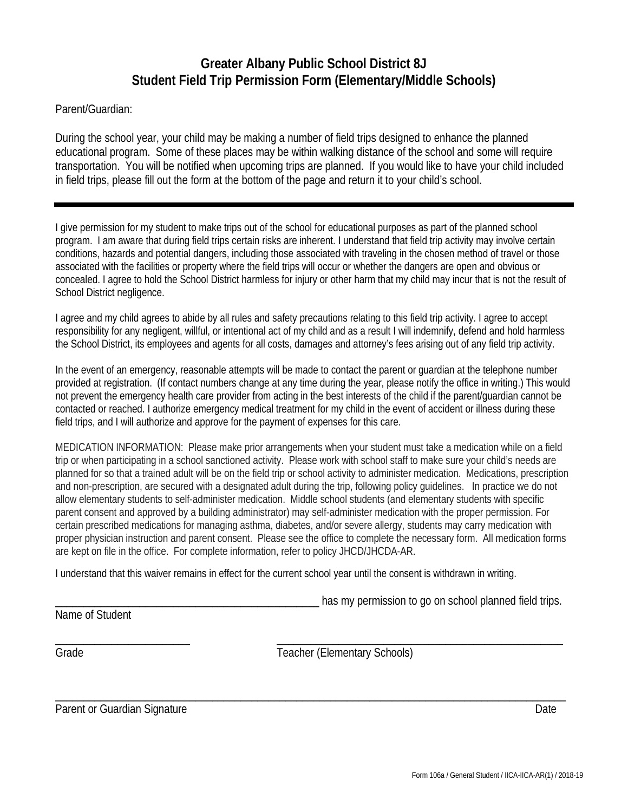## **Greater Albany Public School District 8J Student Field Trip Permission Form (Elementary/Middle Schools)**

Parent/Guardian:

During the school year, your child may be making a number of field trips designed to enhance the planned educational program. Some of these places may be within walking distance of the school and some will require transportation. You will be notified when upcoming trips are planned. If you would like to have your child included in field trips, please fill out the form at the bottom of the page and return it to your child's school.

I give permission for my student to make trips out of the school for educational purposes as part of the planned school program. I am aware that during field trips certain risks are inherent. I understand that field trip activity may involve certain conditions, hazards and potential dangers, including those associated with traveling in the chosen method of travel or those associated with the facilities or property where the field trips will occur or whether the dangers are open and obvious or concealed. I agree to hold the School District harmless for injury or other harm that my child may incur that is not the result of School District negligence.

I agree and my child agrees to abide by all rules and safety precautions relating to this field trip activity. I agree to accept responsibility for any negligent, willful, or intentional act of my child and as a result I will indemnify, defend and hold harmless the School District, its employees and agents for all costs, damages and attorney's fees arising out of any field trip activity.

In the event of an emergency, reasonable attempts will be made to contact the parent or guardian at the telephone number provided at registration. (If contact numbers change at any time during the year, please notify the office in writing.) This would not prevent the emergency health care provider from acting in the best interests of the child if the parent/guardian cannot be contacted or reached. I authorize emergency medical treatment for my child in the event of accident or illness during these field trips, and I will authorize and approve for the payment of expenses for this care.

MEDICATION INFORMATION: Please make prior arrangements when your student must take a medication while on a field trip or when participating in a school sanctioned activity. Please work with school staff to make sure your child's needs are planned for so that a trained adult will be on the field trip or school activity to administer medication. Medications, prescription and non-prescription, are secured with a designated adult during the trip, following policy guidelines. In practice we do not allow elementary students to self-administer medication. Middle school students (and elementary students with specific parent consent and approved by a building administrator) may self-administer medication with the proper permission. For certain prescribed medications for managing asthma, diabetes, and/or severe allergy, students may carry medication with proper physician instruction and parent consent. Please see the office to complete the necessary form. All medication forms are kept on file in the office. For complete information, refer to policy JHCD/JHCDA-AR.

\_\_\_\_\_\_\_\_\_\_\_\_\_\_\_\_\_\_\_\_\_\_\_\_\_\_\_\_\_\_\_\_\_\_\_\_\_\_\_\_\_\_\_\_\_\_\_\_\_\_\_\_\_\_\_\_\_\_\_\_\_\_\_\_\_\_\_\_\_\_\_\_\_\_\_\_\_\_\_\_\_\_\_\_\_\_\_\_\_\_\_

I understand that this waiver remains in effect for the current school year until the consent is withdrawn in writing.

has my permission to go on school planned field trips.

Name of Student

\_\_\_\_\_\_\_\_\_\_\_\_\_\_\_\_\_\_\_\_\_\_\_\_ \_\_\_\_\_\_\_\_\_\_\_\_\_\_\_\_\_\_\_\_\_\_\_\_\_\_\_\_\_\_\_\_\_\_\_\_\_\_\_\_\_\_\_\_\_\_\_\_\_\_\_

Grade Grade Teacher (Elementary Schools)

Parent or Guardian Signature Date Date Control of the United States and Date Date Date